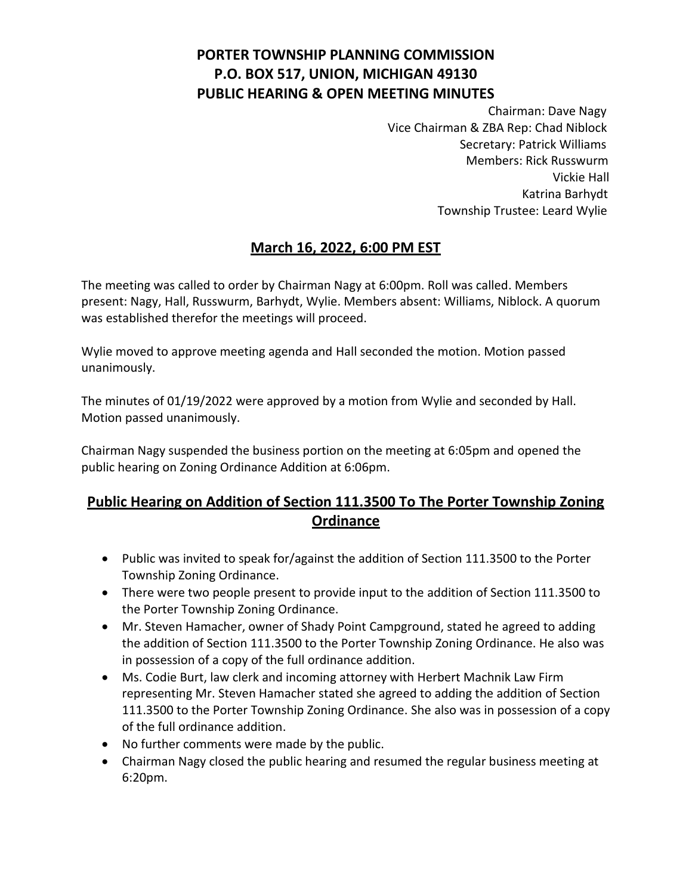# **PORTER TOWNSHIP PLANNING COMMISSION P.O. BOX 517, UNION, MICHIGAN 49130 PUBLIC HEARING & OPEN MEETING MINUTES**

Chairman: Dave Nagy Vice Chairman & ZBA Rep: Chad Niblock Secretary: Patrick Williams Members: Rick Russwurm Vickie Hall Katrina Barhydt Township Trustee: Leard Wylie

### **March 16, 2022, 6:00 PM EST**

The meeting was called to order by Chairman Nagy at 6:00pm. Roll was called. Members present: Nagy, Hall, Russwurm, Barhydt, Wylie. Members absent: Williams, Niblock. A quorum was established therefor the meetings will proceed.

Wylie moved to approve meeting agenda and Hall seconded the motion. Motion passed unanimously.

The minutes of 01/19/2022 were approved by a motion from Wylie and seconded by Hall. Motion passed unanimously.

Chairman Nagy suspended the business portion on the meeting at 6:05pm and opened the public hearing on Zoning Ordinance Addition at 6:06pm.

# **Public Hearing on Addition of Section 111.3500 To The Porter Township Zoning Ordinance**

- Public was invited to speak for/against the addition of Section 111.3500 to the Porter Township Zoning Ordinance.
- There were two people present to provide input to the addition of Section 111.3500 to the Porter Township Zoning Ordinance.
- Mr. Steven Hamacher, owner of Shady Point Campground, stated he agreed to adding the addition of Section 111.3500 to the Porter Township Zoning Ordinance. He also was in possession of a copy of the full ordinance addition.
- Ms. Codie Burt, law clerk and incoming attorney with Herbert Machnik Law Firm representing Mr. Steven Hamacher stated she agreed to adding the addition of Section 111.3500 to the Porter Township Zoning Ordinance. She also was in possession of a copy of the full ordinance addition.
- No further comments were made by the public.
- Chairman Nagy closed the public hearing and resumed the regular business meeting at 6:20pm.